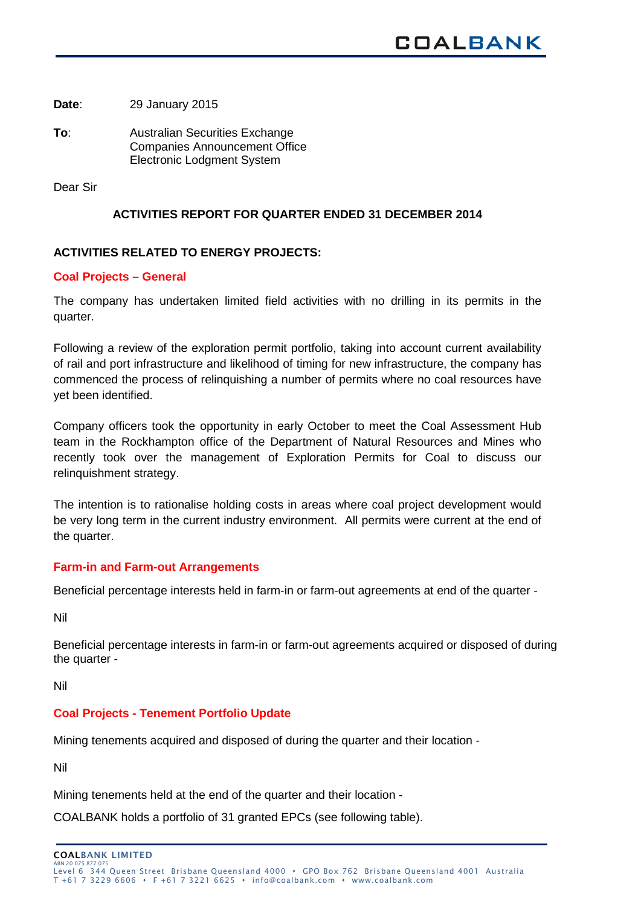**Date**: 29 January 2015

**To**: Australian Securities Exchange Companies Announcement Office Electronic Lodgment System

Dear Sir

## **ACTIVITIES REPORT FOR QUARTER ENDED 31 DECEMBER 2014**

# **ACTIVITIES RELATED TO ENERGY PROJECTS:**

## **Coal Projects – General**

The company has undertaken limited field activities with no drilling in its permits in the quarter.

Following a review of the exploration permit portfolio, taking into account current availability of rail and port infrastructure and likelihood of timing for new infrastructure, the company has commenced the process of relinquishing a number of permits where no coal resources have yet been identified.

Company officers took the opportunity in early October to meet the Coal Assessment Hub team in the Rockhampton office of the Department of Natural Resources and Mines who recently took over the management of Exploration Permits for Coal to discuss our relinquishment strategy.

The intention is to rationalise holding costs in areas where coal project development would be very long term in the current industry environment. All permits were current at the end of the quarter.

## **Farm-in and Farm-out Arrangements**

Beneficial percentage interests held in farm-in or farm-out agreements at end of the quarter -

Nil

Beneficial percentage interests in farm-in or farm-out agreements acquired or disposed of during the quarter -

Nil

## **Coal Projects - Tenement Portfolio Update**

Mining tenements acquired and disposed of during the quarter and their location -

Nil

Mining tenements held at the end of the quarter and their location -

COALBANK holds a portfolio of 31 granted EPCs (see following table).